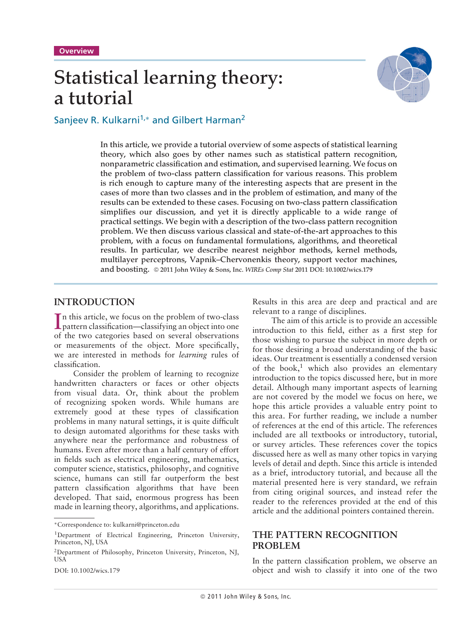# **Statistical learning theory: a tutorial**



Sanjeev R. Kulkarni<sup>1,∗</sup> and Gilbert Harman<sup>2</sup>

**In this article, we provide a tutorial overview of some aspects of statistical learning theory, which also goes by other names such as statistical pattern recognition, nonparametric classification and estimation, and supervised learning. We focus on the problem of two-class pattern classification for various reasons. This problem is rich enough to capture many of the interesting aspects that are present in the cases of more than two classes and in the problem of estimation, and many of the results can be extended to these cases. Focusing on two-class pattern classification simplifies our discussion, and yet it is directly applicable to a wide range of practical settings. We begin with a description of the two-class pattern recognition problem. We then discuss various classical and state-of-the-art approaches to this problem, with a focus on fundamental formulations, algorithms, and theoretical results. In particular, we describe nearest neighbor methods, kernel methods, multilayer perceptrons, Vapnik–Chervonenkis theory, support vector machines, and boosting. 2011 John Wiley & Sons, Inc.** *WIREs Comp Stat* **2011 DOI: 10.1002/wics.179**

# **INTRODUCTION**

In this article, we focus on the problem of two-class<br>pattern classification—classifying an object into one<br>of the two extension hand are arrived absomptions n this article, we focus on the problem of two-class of the two categories based on several observations or measurements of the object. More specifically, we are interested in methods for *learning* rules of classification.

Consider the problem of learning to recognize handwritten characters or faces or other objects from visual data. Or, think about the problem of recognizing spoken words. While humans are extremely good at these types of classification problems in many natural settings, it is quite difficult to design automated algorithms for these tasks with anywhere near the performance and robustness of humans. Even after more than a half century of effort in fields such as electrical engineering, mathematics, computer science, statistics, philosophy, and cognitive science, humans can still far outperform the best pattern classification algorithms that have been developed. That said, enormous progress has been made in learning theory, algorithms, and applications.

Results in this area are deep and practical and are relevant to a range of disciplines.

The aim of this article is to provide an accessible introduction to this field, either as a first step for those wishing to pursue the subject in more depth or for those desiring a broad understanding of the basic ideas. Our treatment is essentially a condensed version of the book,<sup>1</sup> which also provides an elementary introduction to the topics discussed here, but in more detail. Although many important aspects of learning are not covered by the model we focus on here, we hope this article provides a valuable entry point to this area. For further reading, we include a number of references at the end of this article. The references included are all textbooks or introductory, tutorial, or survey articles. These references cover the topics discussed here as well as many other topics in varying levels of detail and depth. Since this article is intended as a brief, introductory tutorial, and because all the material presented here is very standard, we refrain from citing original sources, and instead refer the reader to the references provided at the end of this article and the additional pointers contained therein.

# **THE PATTERN RECOGNITION PROBLEM**

In the pattern classification problem, we observe an object and wish to classify it into one of the two

<sup>∗</sup>Correspondence to: kulkarni@princeton.edu

<sup>1</sup>Department of Electrical Engineering, Princeton University, Princeton, NJ, USA

<sup>2</sup>Department of Philosophy, Princeton University, Princeton, NJ, **TISA** 

DOI: 10.1002/wics.179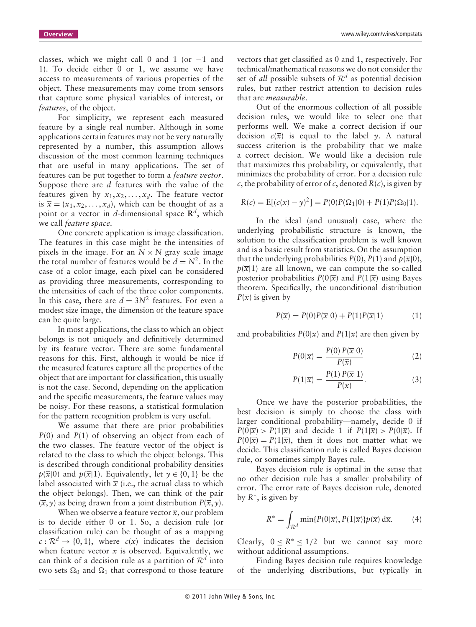classes, which we might call 0 and 1 (or −1 and 1). To decide either 0 or 1, we assume we have access to measurements of various properties of the object. These measurements may come from sensors that capture some physical variables of interest, or *features*, of the object.

For simplicity, we represent each measured feature by a single real number. Although in some applications certain features may not be very naturally represented by a number, this assumption allows discussion of the most common learning techniques that are useful in many applications. The set of features can be put together to form a *feature vector*. Suppose there are *d* features with the value of the features given by  $x_1, x_2, \ldots, x_d$ . The feature vector is  $\bar{x} = (x_1, x_2, \dots, x_d)$ , which can be thought of as a point or a vector in *d*-dimensional space **R***d*, which we call *feature space*.

One concrete application is image classification. The features in this case might be the intensities of pixels in the image. For an  $N \times N$  gray scale image the total number of features would be  $d = N^2$ . In the case of a color image, each pixel can be considered as providing three measurements, corresponding to the intensities of each of the three color components. In this case, there are  $d = 3N^2$  features. For even a modest size image, the dimension of the feature space can be quite large.

In most applications, the class to which an object belongs is not uniquely and definitively determined by its feature vector. There are some fundamental reasons for this. First, although it would be nice if the measured features capture all the properties of the object that are important for classification, this usually is not the case. Second, depending on the application and the specific measurements, the feature values may be noisy. For these reasons, a statistical formulation for the pattern recognition problem is very useful.

We assume that there are prior probabilities *P*(0) and *P*(1) of observing an object from each of the two classes. The feature vector of the object is related to the class to which the object belongs. This is described through conditional probability densities  $p(\overline{x}|0)$  and  $p(\overline{x}|1)$ . Equivalently, let  $y \in \{0, 1\}$  be the label associated with  $\bar{x}$  (i.e., the actual class to which the object belongs). Then, we can think of the pair  $(\overline{x}, \gamma)$  as being drawn from a joint distribution  $P(\overline{x}, \gamma)$ .

When we observe a feature vector  $\bar{x}$ , our problem is to decide either 0 or 1. So, a decision rule (or classification rule) can be thought of as a mapping  $c: \mathcal{R}^d \to \{0, 1\}$ , where  $c(\overline{x})$  indicates the decision when feature vector  $\bar{x}$  is observed. Equivalently, we can think of a decision rule as a partition of  $\mathcal{R}^d$  into two sets  $\Omega_0$  and  $\Omega_1$  that correspond to those feature vectors that get classified as 0 and 1, respectively. For technical/mathematical reasons we do not consider the set of *all* possible subsets of  $\mathcal{R}^d$  as potential decision rules, but rather restrict attention to decision rules that are *measurable*.

Out of the enormous collection of all possible decision rules, we would like to select one that performs well. We make a correct decision if our decision  $c(\overline{x})$  is equal to the label *y*. A natural success criterion is the probability that we make a correct decision. We would like a decision rule that maximizes this probability, or equivalently, that minimizes the probability of error. For a decision rule *c*, the probability of error of *c*, denoted  $R(c)$ , is given by

$$
R(c) = E[(c(\overline{x}) - y)^{2}] = P(0)P(\Omega_{1}|0) + P(1)P(\Omega_{0}|1).
$$

In the ideal (and unusual) case, where the underlying probabilistic structure is known, the solution to the classification problem is well known and is a basic result from statistics. On the assumption that the underlying probabilities  $P(0)$ ,  $P(1)$  and  $p(\bar{x}|0)$ ,  $p(\overline{x}|1)$  are all known, we can compute the so-called posterior probabilities  $P(0|\overline{x})$  and  $P(1|\overline{x})$  using Bayes theorem. Specifically, the unconditional distribution  $P(\overline{x})$  is given by

$$
P(\overline{x}) = P(0)P(\overline{x}|0) + P(1)P(\overline{x}|1)
$$
\n<sup>(1)</sup>

and probabilities  $P(0|\overline{x})$  and  $P(1|\overline{x})$  are then given by

$$
P(0|\overline{x}) = \frac{P(0) P(\overline{x}|0)}{P(\overline{x})}
$$
 (2)

$$
P(1|\overline{x}) = \frac{P(1) P(\overline{x}|1)}{P(\overline{x})}.
$$
 (3)

Once we have the posterior probabilities, the best decision is simply to choose the class with larger conditional probability—namely, decide 0 if  $P(0|\overline{x}) > P(1|\overline{x})$  and decide 1 if  $P(1|\overline{x}) > P(0|\overline{x})$ . If  $P(0|\overline{x}) = P(1|\overline{x})$ , then it does not matter what we decide. This classification rule is called Bayes decision rule, or sometimes simply Bayes rule.

Bayes decision rule is optimal in the sense that no other decision rule has a smaller probability of error. The error rate of Bayes decision rule, denoted by *R*∗, is given by

$$
R^* = \int_{\mathcal{R}^d} \min\{P(0|\overline{x}), P(1|\overline{x})\} p(\overline{x}) \, d\overline{x}.\tag{4}
$$

Clearly,  $0 \le R^* \le 1/2$  but we cannot say more without additional assumptions.

Finding Bayes decision rule requires knowledge of the underlying distributions, but typically in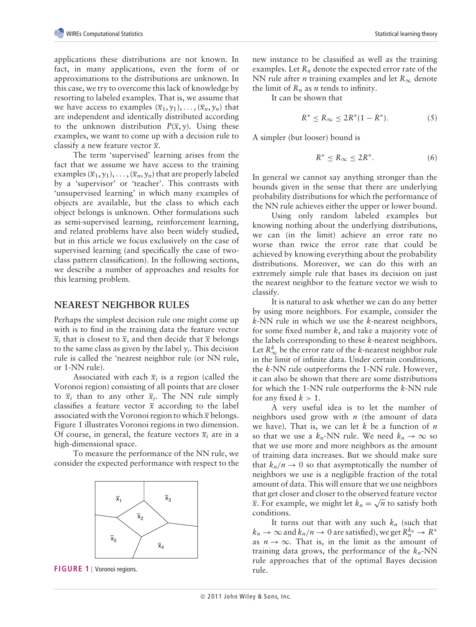applications these distributions are not known. In fact, in many applications, even the form of or approximations to the distributions are unknown. In this case, we try to overcome this lack of knowledge by resorting to labeled examples. That is, we assume that we have access to examples  $(\overline{x}_1, y_1), \ldots, (\overline{x}_n, y_n)$  that are independent and identically distributed according to the unknown distribution  $P(\overline{x}, y)$ . Using these examples, we want to come up with a decision rule to classify a new feature vector  $\bar{x}$ .

The term 'supervised' learning arises from the fact that we assume we have access to the training examples  $(\overline{x}_1, y_1), \ldots, (\overline{x}_n, y_n)$  that are properly labeled by a 'supervisor' or 'teacher'. This contrasts with 'unsupervised learning' in which many examples of objects are available, but the class to which each object belongs is unknown. Other formulations such as semi-supervised learning, reinforcement learning, and related problems have also been widely studied, but in this article we focus exclusively on the case of supervised learning (and specifically the case of twoclass pattern classification). In the following sections, we describe a number of approaches and results for this learning problem.

#### **NEAREST NEIGHBOR RULES**

Perhaps the simplest decision rule one might come up with is to find in the training data the feature vector  $\overline{x_i}$  that is closest to  $\overline{x}$ , and then decide that  $\overline{x}$  belongs to the same class as given by the label  $y_i$ . This decision rule is called the 'nearest neighbor rule (or NN rule, or 1-NN rule).

Associated with each  $\overline{x}_i$  is a region (called the Voronoi region) consisting of all points that are closer to  $\overline{x}_i$  than to any other  $\overline{x}_i$ . The NN rule simply classifies a feature vector  $\bar{x}$  according to the label associated with the Voronoi region to which  $\bar{x}$  belongs. Figure 1 illustrates Voronoi regions in two dimension. Of course, in general, the feature vectors  $\overline{x}_i$  are in a high-dimensional space.

To measure the performance of the NN rule, we consider the expected performance with respect to the





new instance to be classified as well as the training examples. Let  $R_n$  denote the expected error rate of the NN rule after *n* training examples and let  $R_{\infty}$  denote the limit of  $R_n$  as *n* tends to infinity.

It can be shown that

$$
R^* \le R_{\infty} \le 2R^*(1 - R^*). \tag{5}
$$

A simpler (but looser) bound is

$$
R^* \le R_\infty \le 2R^*.\tag{6}
$$

In general we cannot say anything stronger than the bounds given in the sense that there are underlying probability distributions for which the performance of the NN rule achieves either the upper or lower bound.

Using only random labeled examples but knowing nothing about the underlying distributions, we can (in the limit) achieve an error rate no worse than twice the error rate that could be achieved by knowing everything about the probability distributions. Moreover, we can do this with an extremely simple rule that bases its decision on just the nearest neighbor to the feature vector we wish to classify.

It is natural to ask whether we can do any better by using more neighbors. For example, consider the *k*-NN rule in which we use the *k*-nearest neighbors, for some fixed number *k*, and take a majority vote of the labels corresponding to these *k*-nearest neighbors. Let *Rk* <sup>∞</sup> be the error rate of the *k*-nearest neighbor rule in the limit of infinite data. Under certain conditions, the *k*-NN rule outperforms the 1-NN rule. However, it can also be shown that there are some distributions for which the 1-NN rule outperforms the *k*-NN rule for any fixed  $k > 1$ .

A very useful idea is to let the number of neighbors used grow with *n* (the amount of data we have). That is, we can let *k* be a function of *n* so that we use a  $k_n$ -NN rule. We need  $k_n \to \infty$  so that we use more and more neighbors as the amount of training data increases. But we should make sure that  $k_n/n \to 0$  so that asymptotically the number of neighbors we use is a negligible fraction of the total amount of data. This will ensure that we use neighbors that get closer and closer to the observed feature vector  $\overline{x}$ . For example, we might let  $k_n = \sqrt{n}$  to satisfy both conditions.

It turns out that with any such  $k_n$  (such that  $k_n \to \infty$  and  $k_n/n \to 0$  are satisfied), we get  $R_n^{k_n} \to R^*$ as  $n \to \infty$ . That is, in the limit as the amount of training data grows, the performance of the  $k_n$ -NN rule approaches that of the optimal Bayes decision rule.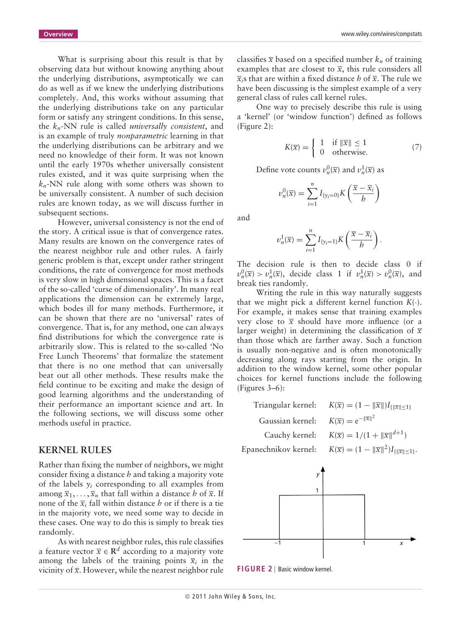What is surprising about this result is that by observing data but without knowing anything about the underlying distributions, asymptotically we can do as well as if we knew the underlying distributions completely. And, this works without assuming that the underlying distributions take on any particular form or satisfy any stringent conditions. In this sense, the *kn*-NN rule is called *universally consistent*, and is an example of truly *nonparametric* learning in that the underlying distributions can be arbitrary and we need no knowledge of their form. It was not known until the early 1970s whether universally consistent rules existed, and it was quite surprising when the *kn*-NN rule along with some others was shown to be universally consistent. A number of such decision rules are known today, as we will discuss further in subsequent sections.

However, universal consistency is not the end of the story. A critical issue is that of convergence rates. Many results are known on the convergence rates of the nearest neighbor rule and other rules. A fairly generic problem is that, except under rather stringent conditions, the rate of convergence for most methods is very slow in high dimensional spaces. This is a facet of the so-called 'curse of dimensionality'. In many real applications the dimension can be extremely large, which bodes ill for many methods. Furthermore, it can be shown that there are no 'universal' rates of convergence. That is, for any method, one can always find distributions for which the convergence rate is arbitrarily slow. This is related to the so-called 'No Free Lunch Theorems' that formalize the statement that there is no one method that can universally beat out all other methods. These results make the field continue to be exciting and make the design of good learning algorithms and the understanding of their performance an important science and art. In the following sections, we will discuss some other methods useful in practice.

#### **KERNEL RULES**

Rather than fixing the number of neighbors, we might consider fixing a distance *h* and taking a majority vote of the labels  $y_i$  corresponding to all examples from among  $\overline{x}_1, \ldots, \overline{x}_n$  that fall within a distance *h* of  $\overline{x}$ . If none of the  $\overline{x}_i$  fall within distance *h* or if there is a tie in the majority vote, we need some way to decide in these cases. One way to do this is simply to break ties randomly.

As with nearest neighbor rules, this rule classifies a feature vector  $\overline{x} \in \mathbb{R}^d$  according to a majority vote among the labels of the training points  $\overline{x}_i$  in the vicinity of  $\bar{x}$ . However, while the nearest neighbor rule classifies  $\bar{x}$  based on a specified number  $k_n$  of training examples that are closest to  $\bar{x}$ , this rule considers all  $\overline{x_i}$ s that are within a fixed distance *h* of  $\overline{x}$ . The rule we have been discussing is the simplest example of a very general class of rules call kernel rules.

One way to precisely describe this rule is using a 'kernel' (or 'window function') defined as follows (Figure 2):

$$
K(\overline{x}) = \begin{cases} 1 & \text{if } \|\overline{x}\| \le 1 \\ 0 & \text{otherwise.} \end{cases}
$$
 (7)

Define vote counts  $v_n^0(\overline{x})$  and  $v_n^1(\overline{x})$  as

$$
v_n^0(\overline{x}) = \sum_{i=1}^n I_{\{y_i=0\}} K\left(\frac{\overline{x} - \overline{x}_i}{b}\right)
$$

and

$$
\nu_n^1(\overline{x}) = \sum_{i=1}^n I_{\{y_i=1\}} K\left(\frac{\overline{x} - \overline{x}_i}{b}\right).
$$

The decision rule is then to decide class 0 if  $v_n^0(\overline{x}) > v_n^1(\overline{x})$ , decide class 1 if  $v_n^1(\overline{x}) > v_n^0(\overline{x})$ , and break ties randomly.

Writing the rule in this way naturally suggests that we might pick a different kernel function *K*(·). For example, it makes sense that training examples very close to  $\bar{x}$  should have more influence (or a larger weight) in determining the classification of  $\overline{x}$ than those which are farther away. Such a function is usually non-negative and is often monotonically decreasing along rays starting from the origin. In addition to the window kernel, some other popular choices for kernel functions include the following (Figures 3–6):

 $Triangular \, kernel:$   $K(\overline{x}) = (1 - ||\overline{x}||)I_{\{||\overline{x}|| \leq 1\}}$ Gaussian kernel:  $K(\overline{x}) = e^{-\|\overline{x}\|^2}$ Cauchy kernel:  $K(\overline{x}) = 1/(1 + ||\overline{x}||^{d+1})$ Epanechnikov kernel:  $K(\overline{x}) = (1 - ||\overline{x}||^2)I_{\{|x| \leq 1\}}$ .



**FIGURE 2** | Basic window kernel.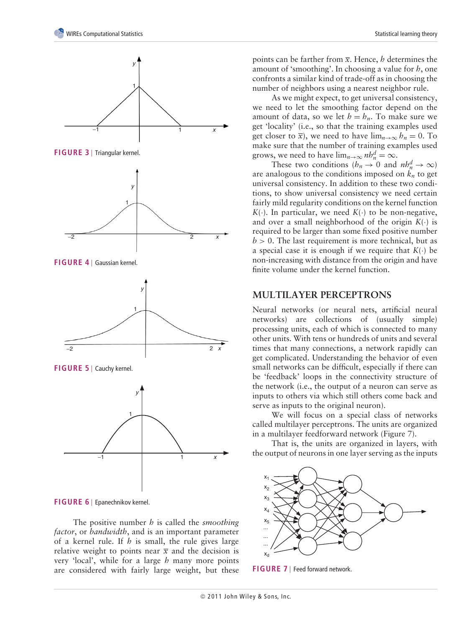

**FIGURE 6** | Epanechnikov kernel.

The positive number *h* is called the *smoothing factor*, or *bandwidth*, and is an important parameter of a kernel rule. If *h* is small, the rule gives large relative weight to points near  $\bar{x}$  and the decision is very 'local', while for a large *h* many more points are considered with fairly large weight, but these

points can be farther from *x*. Hence, *h* determines the amount of 'smoothing'. In choosing a value for *h*, one confronts a similar kind of trade-off as in choosing the number of neighbors using a nearest neighbor rule.

As we might expect, to get universal consistency, we need to let the smoothing factor depend on the amount of data, so we let  $h = h_n$ . To make sure we get 'locality' (i.e., so that the training examples used get closer to  $\bar{x}$ ), we need to have  $\lim_{n\to\infty} h_n = 0$ . To make sure that the number of training examples used grows, we need to have  $\lim_{n\to\infty} nb_n^d = \infty$ .

These two conditions  $(h_n \to 0 \text{ and } nb_n^d \to \infty)$ are analogous to the conditions imposed on  $k_n$  to get universal consistency. In addition to these two conditions, to show universal consistency we need certain fairly mild regularity conditions on the kernel function  $K(\cdot)$ . In particular, we need  $K(\cdot)$  to be non-negative, and over a small neighborhood of the origin  $K(\cdot)$  is required to be larger than some fixed positive number  $b > 0$ . The last requirement is more technical, but as a special case it is enough if we require that  $K(\cdot)$  be non-increasing with distance from the origin and have finite volume under the kernel function.

### **MULTILAYER PERCEPTRONS**

Neural networks (or neural nets, artificial neural networks) are collections of (usually simple) processing units, each of which is connected to many other units. With tens or hundreds of units and several times that many connections, a network rapidly can get complicated. Understanding the behavior of even small networks can be difficult, especially if there can be 'feedback' loops in the connectivity structure of the network (i.e., the output of a neuron can serve as inputs to others via which still others come back and serve as inputs to the original neuron).

We will focus on a special class of networks called multilayer perceptrons. The units are organized in a multilayer feedforward network (Figure 7).

That is, the units are organized in layers, with the output of neurons in one layer serving as the inputs



**FIGURE 7** | Feed forward network.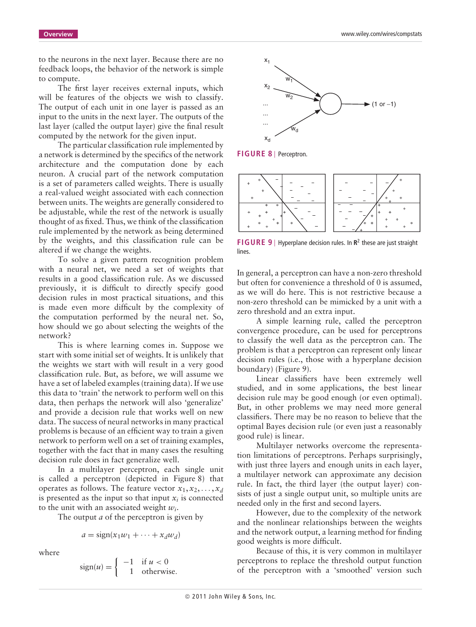to the neurons in the next layer. Because there are no feedback loops, the behavior of the network is simple to compute.

The first layer receives external inputs, which will be features of the objects we wish to classify. The output of each unit in one layer is passed as an input to the units in the next layer. The outputs of the last layer (called the output layer) give the final result computed by the network for the given input.

The particular classification rule implemented by a network is determined by the specifics of the network architecture and the computation done by each neuron. A crucial part of the network computation is a set of parameters called weights. There is usually a real-valued weight associated with each connection between units. The weights are generally considered to be adjustable, while the rest of the network is usually thought of as fixed. Thus, we think of the classification rule implemented by the network as being determined by the weights, and this classification rule can be altered if we change the weights.

To solve a given pattern recognition problem with a neural net, we need a set of weights that results in a good classification rule. As we discussed previously, it is difficult to directly specify good decision rules in most practical situations, and this is made even more difficult by the complexity of the computation performed by the neural net. So, how should we go about selecting the weights of the network?

This is where learning comes in. Suppose we start with some initial set of weights. It is unlikely that the weights we start with will result in a very good classification rule. But, as before, we will assume we have a set of labeled examples (training data). If we use this data to 'train' the network to perform well on this data, then perhaps the network will also 'generalize' and provide a decision rule that works well on new data. The success of neural networks in many practical problems is because of an efficient way to train a given network to perform well on a set of training examples, together with the fact that in many cases the resulting decision rule does in fact generalize well.

In a multilayer perceptron, each single unit is called a perceptron (depicted in Figure 8) that operates as follows. The feature vector  $x_1, x_2, \ldots, x_d$ is presented as the input so that input  $x_i$  is connected to the unit with an associated weight *wi*.

The output *a* of the perceptron is given by

$$
a = sign(x_1w_1 + \dots + x_dw_d)
$$

where

$$
sign(u) = \begin{cases} -1 & \text{if } u < 0\\ 1 & \text{otherwise.} \end{cases}
$$



**FIGURE 8** | Perceptron.



**FIGURE 9** | Hyperplane decision rules. In **R**<sup>2</sup> these are just straight lines.

In general, a perceptron can have a non-zero threshold but often for convenience a threshold of 0 is assumed, as we will do here. This is not restrictive because a non-zero threshold can be mimicked by a unit with a zero threshold and an extra input.

A simple learning rule, called the perceptron convergence procedure, can be used for perceptrons to classify the well data as the perceptron can. The problem is that a perceptron can represent only linear decision rules (i.e., those with a hyperplane decision boundary) (Figure 9).

Linear classifiers have been extremely well studied, and in some applications, the best linear decision rule may be good enough (or even optimal). But, in other problems we may need more general classifiers. There may be no reason to believe that the optimal Bayes decision rule (or even just a reasonably good rule) is linear.

Multilayer networks overcome the representation limitations of perceptrons. Perhaps surprisingly, with just three layers and enough units in each layer, a multilayer network can approximate any decision rule. In fact, the third layer (the output layer) consists of just a single output unit, so multiple units are needed only in the first and second layers.

However, due to the complexity of the network and the nonlinear relationships between the weights and the network output, a learning method for finding good weights is more difficult.

Because of this, it is very common in multilayer perceptrons to replace the threshold output function of the perceptron with a 'smoothed' version such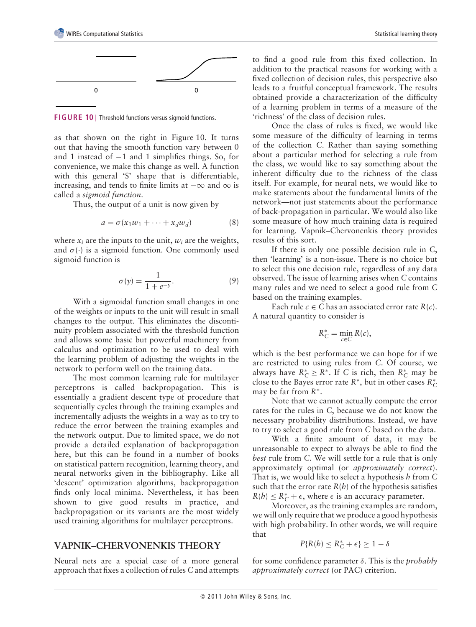

**FIGURE 10** | Threshold functions versus sigmoid functions.

as that shown on the right in Figure 10. It turns out that having the smooth function vary between 0 and 1 instead of −1 and 1 simplifies things. So, for convenience, we make this change as well. A function with this general 'S' shape that is differentiable, increasing, and tends to finite limits at  $-\infty$  and  $\infty$  is called a *sigmoid function*.

Thus, the output of a unit is now given by

$$
a = \sigma(x_1w_1 + \dots + x_dw_d) \tag{8}
$$

where  $x_i$  are the inputs to the unit,  $w_i$  are the weights, and  $\sigma(\cdot)$  is a sigmoid function. One commonly used sigmoid function is

$$
\sigma(y) = \frac{1}{1 + e^{-y}}.\tag{9}
$$

With a sigmoidal function small changes in one of the weights or inputs to the unit will result in small changes to the output. This eliminates the discontinuity problem associated with the threshold function and allows some basic but powerful machinery from calculus and optimization to be used to deal with the learning problem of adjusting the weights in the network to perform well on the training data.

The most common learning rule for multilayer perceptrons is called backpropagation. This is essentially a gradient descent type of procedure that sequentially cycles through the training examples and incrementally adjusts the weights in a way as to try to reduce the error between the training examples and the network output. Due to limited space, we do not provide a detailed explanation of backpropagation here, but this can be found in a number of books on statistical pattern recognition, learning theory, and neural networks given in the bibliography. Like all 'descent' optimization algorithms, backpropagation finds only local minima. Nevertheless, it has been shown to give good results in practice, and backpropagation or its variants are the most widely used training algorithms for multilayer perceptrons.

## **VAPNIK–CHERVONENKIS THEORY**

Neural nets are a special case of a more general approach that fixes a collection of rules *C* and attempts to find a good rule from this fixed collection. In addition to the practical reasons for working with a fixed collection of decision rules, this perspective also leads to a fruitful conceptual framework. The results obtained provide a characterization of the difficulty of a learning problem in terms of a measure of the 'richness' of the class of decision rules.

Once the class of rules is fixed, we would like some measure of the difficulty of learning in terms of the collection *C*. Rather than saying something about a particular method for selecting a rule from the class, we would like to say something about the inherent difficulty due to the richness of the class itself. For example, for neural nets, we would like to make statements about the fundamental limits of the network—not just statements about the performance of back-propagation in particular. We would also like some measure of how much training data is required for learning. Vapnik–Chervonenkis theory provides results of this sort.

If there is only one possible decision rule in *C*, then 'learning' is a non-issue. There is no choice but to select this one decision rule, regardless of any data observed. The issue of learning arises when *C* contains many rules and we need to select a good rule from *C* based on the training examples.

Each rule  $c \in C$  has an associated error rate  $R(c)$ . A natural quantity to consider is

$$
R_C^* = \min_{c \in C} R(c),
$$

which is the best performance we can hope for if we are restricted to using rules from *C*. Of course, we always have  $R_C^* \geq R^*$ . If *C* is rich, then  $R_C^*$  may be close to the Bayes error rate  $R^*$ , but in other cases  $R^*_C$ may be far from *R*∗.

Note that we cannot actually compute the error rates for the rules in *C*, because we do not know the necessary probability distributions. Instead, we have to try to select a good rule from *C* based on the data.

With a finite amount of data, it may be unreasonable to expect to always be able to find the *best* rule from *C*. We will settle for a rule that is only approximately optimal (or *approximately correct*). That is, we would like to select a hypothesis *h* from *C* such that the error rate  $R(h)$  of the hypothesis satisfies  $R(h) \le R_C^* + \epsilon$ , where  $\epsilon$  is an accuracy parameter.

Moreover, as the training examples are random, we will only require that we produce a good hypothesis with high probability. In other words, we will require that

$$
P\{R(h) \le R_C^* + \epsilon\} \ge 1 - \delta
$$

for some confidence parameter *δ*. This is the *probably approximately correct* (or PAC) criterion.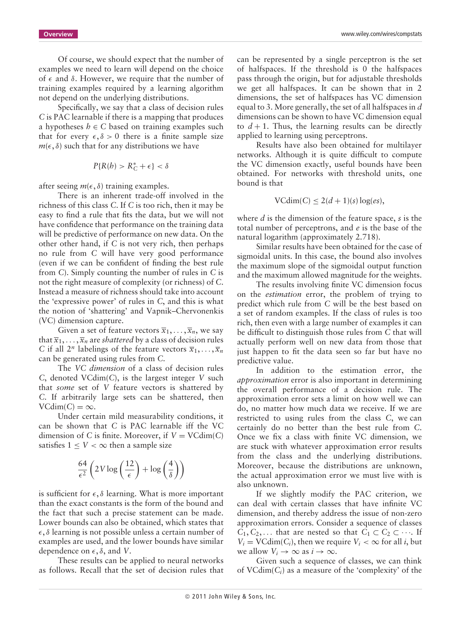Of course, we should expect that the number of examples we need to learn will depend on the choice of  $\epsilon$  and  $\delta$ . However, we require that the number of training examples required by a learning algorithm not depend on the underlying distributions.

Specifically, we say that a class of decision rules *C* is PAC learnable if there is a mapping that produces a hypotheses  $h \in C$  based on training examples such that for every  $\epsilon$ ,  $\delta > 0$  there is a finite sample size  $m(\epsilon, \delta)$  such that for any distributions we have

$$
P\{R(b) > R_C^* + \epsilon\} < \delta
$$

after seeing  $m(\epsilon, \delta)$  training examples.

There is an inherent trade-off involved in the richness of this class *C*. If *C* is too rich, then it may be easy to find a rule that fits the data, but we will not have confidence that performance on the training data will be predictive of performance on new data. On the other other hand, if *C* is not very rich, then perhaps no rule from *C* will have very good performance (even if we can be confident of finding the best rule from *C*). Simply counting the number of rules in *C* is not the right measure of complexity (or richness) of *C*. Instead a measure of richness should take into account the 'expressive power' of rules in *C*, and this is what the notion of 'shattering' and Vapnik–Chervonenkis (VC) dimension capture.

Given a set of feature vectors  $\overline{x}_1, \ldots, \overline{x}_n$ , we say that  $\overline{x}_1, \ldots, \overline{x}_n$  are *shattered* by a class of decision rules *C* if all  $2^n$  labelings of the feature vectors  $\overline{x}_1, \ldots, \overline{x}_n$ can be generated using rules from *C*.

The *VC dimension* of a class of decision rules *C*, denoted VCdim(*C*), is the largest integer *V* such that *some* set of *V* feature vectors is shattered by *C*. If arbitrarily large sets can be shattered, then  $VCdim(C) = \infty$ .

Under certain mild measurability conditions, it can be shown that *C* is PAC learnable iff the VC dimension of *C* is finite. Moreover, if  $V = VCdim(C)$ satisfies  $1 \leq V < \infty$  then a sample size

$$
\frac{64}{\epsilon^2} \left( 2V \log \left( \frac{12}{\epsilon} \right) + \log \left( \frac{4}{\delta} \right) \right)
$$

is sufficient for  $\epsilon$ ,  $\delta$  learning. What is more important than the exact constants is the form of the bound and the fact that such a precise statement can be made. Lower bounds can also be obtained, which states that , *δ* learning is not possible unless a certain number of examples are used, and the lower bounds have similar dependence on  $\epsilon$ ,  $\delta$ , and *V*.

These results can be applied to neural networks as follows. Recall that the set of decision rules that can be represented by a single perceptron is the set of halfspaces. If the threshold is 0 the halfspaces pass through the origin, but for adjustable thresholds we get all halfspaces. It can be shown that in 2 dimensions, the set of halfspaces has VC dimension equal to 3. More generally, the set of all halfspaces in *d* dimensions can be shown to have VC dimension equal to  $d+1$ . Thus, the learning results can be directly applied to learning using perceptrons.

Results have also been obtained for multilayer networks. Although it is quite difficult to compute the VC dimension exactly, useful bounds have been obtained. For networks with threshold units, one bound is that

$$
VCdim(C) \le 2(d+1)(s) \log(es),
$$

where *d* is the dimension of the feature space, *s* is the total number of perceptrons, and *e* is the base of the natural logarithm (approximately 2.718).

Similar results have been obtained for the case of sigmoidal units. In this case, the bound also involves the maximum slope of the sigmoidal output function and the maximum allowed magnitude for the weights.

The results involving finite VC dimension focus on the *estimation* error, the problem of trying to predict which rule from *C* will be the best based on a set of random examples. If the class of rules is too rich, then even with a large number of examples it can be difficult to distinguish those rules from *C* that will actually perform well on new data from those that just happen to fit the data seen so far but have no predictive value.

In addition to the estimation error, the *approximation* error is also important in determining the overall performance of a decision rule. The approximation error sets a limit on how well we can do, no matter how much data we receive. If we are restricted to using rules from the class *C*, we can certainly do no better than the best rule from *C*. Once we fix a class with finite VC dimension, we are stuck with whatever approximation error results from the class and the underlying distributions. Moreover, because the distributions are unknown, the actual approximation error we must live with is also unknown.

If we slightly modify the PAC criterion, we can deal with certain classes that have infinite VC dimension, and thereby address the issue of non-zero approximation errors. Consider a sequence of classes *C*<sub>1</sub>, *C*<sub>2</sub>, *...* that are nested so that *C*<sub>1</sub>  $\subset$  *C*<sub>2</sub>  $\subset$   $\cdots$  If  $V_i$  = VCdim( $C_i$ ), then we require  $V_i < \infty$  for all *i*, but we allow  $V_i \rightarrow \infty$  as  $i \rightarrow \infty$ .

Given such a sequence of classes, we can think of VCdim(*Ci*) as a measure of the 'complexity' of the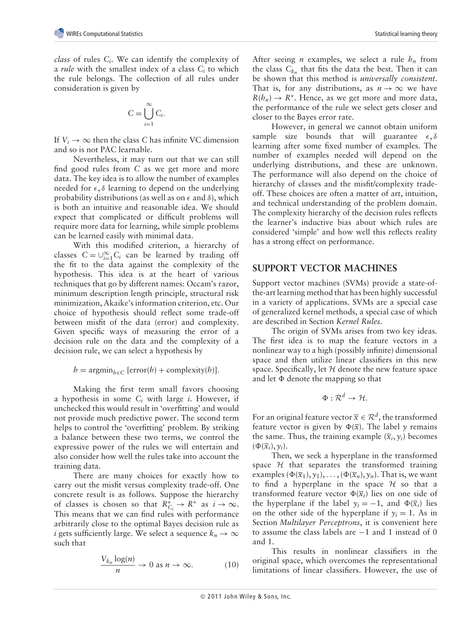*class* of rules *Ci*. We can identify the complexity of a *rule* with the smallest index of a class *Ci* to which the rule belongs. The collection of all rules under consideration is given by

$$
C = \bigcup_{i=1}^{\infty} C_i.
$$

If  $V_i \rightarrow \infty$  then the class *C* has infinite VC dimension and so is not PAC learnable.

Nevertheless, it may turn out that we can still find good rules from *C* as we get more and more data. The key idea is to allow the number of examples needed for  $\epsilon$ ,  $\delta$  learning to depend on the underlying probability distributions (as well as on  $\epsilon$  and  $\delta$ ), which is both an intuitive and reasonable idea. We should expect that complicated or difficult problems will require more data for learning, while simple problems can be learned easily with minimal data.

With this modified criterion, a hierarchy of classes  $C = \bigcup_{i=1}^{\infty} C_i$  can be learned by trading off the fit to the data against the complexity of the hypothesis. This idea is at the heart of various techniques that go by different names: Occam's razor, minimum description length principle, structural risk minimization, Akaike's information criterion, etc. Our choice of hypothesis should reflect some trade-off between misfit of the data (error) and complexity. Given specific ways of measuring the error of a decision rule on the data and the complexity of a decision rule, we can select a hypothesis by

#### $h = \operatorname{argmin}_{h \in C} [\operatorname{error}(h) + \operatorname{complexity}(h)].$

Making the first term small favors choosing a hypothesis in some *Ci* with large *i*. However, if unchecked this would result in 'overfitting' and would not provide much predictive power. The second term helps to control the 'overfitting' problem. By striking a balance between these two terms, we control the expressive power of the rules we will entertain and also consider how well the rules take into account the training data.

There are many choices for exactly how to carry out the misfit versus complexity trade-off. One concrete result is as follows. Suppose the hierarchy of classes is chosen so that  $R_{C_i}^* \to R^*$  as  $i \to \infty$ . This means that we can find rules with performance arbitrarily close to the optimal Bayes decision rule as *i* gets sufficiently large. We select a sequence  $k_n \to \infty$ such that

$$
\frac{V_{k_n}\log(n)}{n} \to 0 \text{ as } n \to \infty.
$$
 (10)

After seeing *n* examples, we select a rule  $h_n$  from the class  $C_{k_n}$  that fits the data the best. Then it can be shown that this method is *universally consistent*. That is, for any distributions, as  $n \to \infty$  we have  $R(h_n) \to R^*$ . Hence, as we get more and more data, the performance of the rule we select gets closer and closer to the Bayes error rate.

However, in general we cannot obtain uniform sample size bounds that will guarantee  $\epsilon$ ,  $\delta$ learning after some fixed number of examples. The number of examples needed will depend on the underlying distributions, and these are unknown. The performance will also depend on the choice of hierarchy of classes and the misfit/complexity tradeoff. These choices are often a matter of art, intuition, and technical understanding of the problem domain. The complexity hierarchy of the decision rules reflects the learner's inductive bias about which rules are considered 'simple' and how well this reflects reality has a strong effect on performance.

## **SUPPORT VECTOR MACHINES**

Support vector machines (SVMs) provide a state-ofthe-art learning method that has been highly successful in a variety of applications. SVMs are a special case of generalized kernel methods, a special case of which are described in Section *Kernel Rules*.

The origin of SVMs arises from two key ideas. The first idea is to map the feature vectors in a nonlinear way to a high (possibly infinite) dimensional space and then utilize linear classifiers in this new space. Specifically, let  $H$  denote the new feature space and let  $\Phi$  denote the mapping so that

$$
\Phi:\mathcal{R}^d\to\mathcal{H}.
$$

For an original feature vector  $\overline{x} \in \mathcal{R}^d$ , the transformed feature vector is given by  $\Phi(\overline{x})$ . The label *y* remains the same. Thus, the training example  $(\overline{x}_i, y_i)$  becomes  $(\Phi(\overline{x}_i), y_i)$ .

Then, we seek a hyperplane in the transformed space  $H$  that separates the transformed training examples  $(\Phi(\overline{x}_1), y_1), \ldots, (\Phi(\overline{x}_n), y_n)$ . That is, we want to find a hyperplane in the space  $\mathcal H$  so that a transformed feature vector  $\Phi(\overline{x}_i)$  lies on one side of the hyperplane if the label  $y_i = -1$ , and  $\Phi(\overline{x}_i)$  lies on the other side of the hyperplane if  $y_i = 1$ . As in Section *Multilayer Perceptrons*, it is convenient here to assume the class labels are −1 and 1 instead of 0 and 1.

This results in nonlinear classifiers in the original space, which overcomes the representational limitations of linear classifiers. However, the use of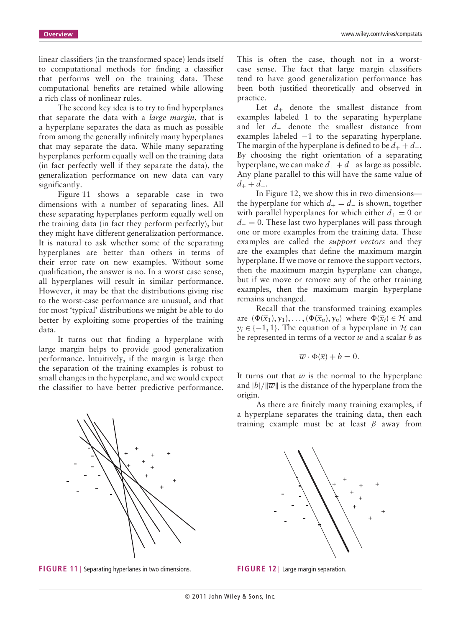linear classifiers (in the transformed space) lends itself to computational methods for finding a classifier that performs well on the training data. These computational benefits are retained while allowing a rich class of nonlinear rules.

The second key idea is to try to find hyperplanes that separate the data with a *large margin*, that is a hyperplane separates the data as much as possible from among the generally infinitely many hyperplanes that may separate the data. While many separating hyperplanes perform equally well on the training data (in fact perfectly well if they separate the data), the generalization performance on new data can vary significantly.

Figure 11 shows a separable case in two dimensions with a number of separating lines. All these separating hyperplanes perform equally well on the training data (in fact they perform perfectly), but they might have different generalization performance. It is natural to ask whether some of the separating hyperplanes are better than others in terms of their error rate on new examples. Without some qualification, the answer is no. In a worst case sense, all hyperplanes will result in similar performance. However, it may be that the distributions giving rise to the worst-case performance are unusual, and that for most 'typical' distributions we might be able to do better by exploiting some properties of the training data.

It turns out that finding a hyperplane with large margin helps to provide good generalization performance. Intuitively, if the margin is large then the separation of the training examples is robust to small changes in the hyperplane, and we would expect the classifier to have better predictive performance.





This is often the case, though not in a worstcase sense. The fact that large margin classifiers tend to have good generalization performance has been both justified theoretically and observed in practice.

Let  $d_+$  denote the smallest distance from examples labeled 1 to the separating hyperplane and let *d*<sup>−</sup> denote the smallest distance from examples labeled −1 to the separating hyperplane. The margin of the hyperplane is defined to be  $d_{+} + d_{-}$ . By choosing the right orientation of a separating hyperplane, we can make  $d_{+} + d_{-}$  as large as possible. Any plane parallel to this will have the same value of  $d_{+} + d_{-}$ .

In Figure 12, we show this in two dimensions the hyperplane for which  $d_{+} = d_{-}$  is shown, together with parallel hyperplanes for which either  $d_{+} = 0$  or *d*− = 0. These last two hyperplanes will pass through one or more examples from the training data. These examples are called the *support vectors* and they are the examples that define the maximum margin hyperplane. If we move or remove the support vectors, then the maximum margin hyperplane can change, but if we move or remove any of the other training examples, then the maximum margin hyperplane remains unchanged.

Recall that the transformed training examples are  $(\Phi(\overline{x}_1), y_1), \ldots, (\Phi(\overline{x}_n), y_n)$  where  $\Phi(\overline{x}_i) \in \mathcal{H}$  and  $y_i \in \{-1, 1\}$ . The equation of a hyperplane in H can be represented in terms of a vector  $\overline{w}$  and a scalar *b* as

$$
\overline{w} \cdot \Phi(\overline{x}) + b = 0.
$$

It turns out that  $\overline{w}$  is the normal to the hyperplane and  $|b|/\sqrt{w}$  is the distance of the hyperplane from the origin.

As there are finitely many training examples, if a hyperplane separates the training data, then each training example must be at least *β* away from



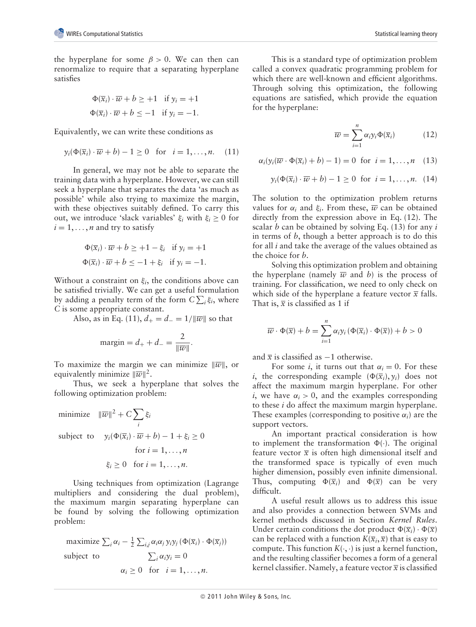the hyperplane for some  $\beta > 0$ . We can then can renormalize to require that a separating hyperplane satisfies

$$
\Phi(\overline{x}_i) \cdot \overline{w} + b \ge +1 \quad \text{if } y_i = +1
$$
  

$$
\Phi(\overline{x}_i) \cdot \overline{w} + b \le -1 \quad \text{if } y_i = -1.
$$

Equivalently, we can write these conditions as

$$
y_i(\Phi(\overline{x}_i) \cdot \overline{w} + b) - 1 \ge 0
$$
 for  $i = 1, ..., n$ . (11)

In general, we may not be able to separate the training data with a hyperplane. However, we can still seek a hyperplane that separates the data 'as much as possible' while also trying to maximize the margin, with these objectives suitably defined. To carry this out, we introduce 'slack variables' *ξ<sup>i</sup>* with *ξ<sup>i</sup>* ≥ 0 for  $i = 1, \ldots, n$  and try to satisfy

$$
\Phi(\overline{x}_i) \cdot \overline{w} + b \ge +1 - \xi_i \quad \text{if } y_i = +1
$$
  

$$
\Phi(\overline{x}_i) \cdot \overline{w} + b \le -1 + \xi_i \quad \text{if } y_i = -1.
$$

Without a constraint on  $\xi_i$ , the conditions above can be satisfied trivially. We can get a useful formulation by adding a penalty term of the form  $C\sum_i \xi_i$ , where *C* is some appropriate constant.

Also, as in Eq. (11),  $d_{+} = d_{-} = 1/\Vert \overline{w} \Vert$  so that

$$
margin = d_+ + d_- = \frac{2}{\|\overline{w}\|}.
$$

To maximize the margin we can minimize  $\|\overline{w}\|$ , or equivalently minimize  $\|\overline{w}\|^2$ .

Thus, we seek a hyperplane that solves the following optimization problem:

minimize  $\|\overline{w}\|^2 + C$ *i ξi* subject to  $y_i(\Phi(\overline{x}_i) \cdot \overline{w} + b) - 1 + \xi_i \ge 0$ for  $i = 1, ..., n$  $\xi_i \geq 0$  for  $i = 1, ..., n$ .

Using techniques from optimization (Lagrange multipliers and considering the dual problem), the maximum margin separating hyperplane can be found by solving the following optimization problem:

maximize 
$$
\sum_i \alpha_i - \frac{1}{2} \sum_{i,j} \alpha_i \alpha_j y_i y_j (\Phi(\overline{x}_i) \cdot \Phi(\overline{x}_j))
$$
  
subject to  $\sum_i \alpha_i y_i = 0$   
 $\alpha_i \ge 0$  for  $i = 1, ..., n$ .

This is a standard type of optimization problem called a convex quadratic programming problem for which there are well-known and efficient algorithms. Through solving this optimization, the following equations are satisfied, which provide the equation for the hyperplane:

$$
\overline{w} = \sum_{i=1}^{n} \alpha_i y_i \Phi(\overline{x}_i)
$$
 (12)

$$
\alpha_i(y_i(\overline{w}\cdot\Phi(\overline{x}_i)+b)-1)=0 \ \ \text{for} \ \ i=1,\ldots,n \quad (13)
$$

$$
y_i(\Phi(\overline{x}_i) \cdot \overline{w} + b) - 1 \ge 0
$$
 for  $i = 1, ..., n$ . (14)

The solution to the optimization problem returns values for *α<sup>i</sup>* and *ξi*. From these, *w* can be obtained directly from the expression above in Eq. (12). The scalar *b* can be obtained by solving Eq. (13) for any *i* in terms of *b*, though a better approach is to do this for all *i* and take the average of the values obtained as the choice for *b*.

Solving this optimization problem and obtaining the hyperplane (namely  $\overline{w}$  and *b*) is the process of training. For classification, we need to only check on which side of the hyperplane a feature vector  $\bar{x}$  falls. That is,  $\bar{x}$  is classified as 1 if

$$
\overline{w} \cdot \Phi(\overline{x}) + b = \sum_{i=1}^{n} \alpha_i y_i (\Phi(\overline{x}_i) \cdot \Phi(\overline{x})) + b > 0
$$

and  $\bar{x}$  is classified as  $-1$  otherwise.

For some *i*, it turns out that  $\alpha_i = 0$ . For these *i*, the corresponding example  $(\Phi(\overline{x}_i), y_i)$  does not affect the maximum margin hyperplane. For other *i*, we have  $\alpha_i > 0$ , and the examples corresponding to these *i* do affect the maximum margin hyperplane. These examples (corresponding to positive  $\alpha_i$ ) are the support vectors.

An important practical consideration is how to implement the transformation  $\Phi(\cdot)$ . The original feature vector  $\bar{x}$  is often high dimensional itself and the transformed space is typically of even much higher dimension, possibly even infinite dimensional. Thus, computing  $\Phi(\overline{x}_i)$  and  $\Phi(\overline{x})$  can be very difficult.

A useful result allows us to address this issue and also provides a connection between SVMs and kernel methods discussed in Section *Kernel Rules*. Under certain conditions the dot product  $\Phi(\overline{x}_i) \cdot \Phi(\overline{x})$ can be replaced with a function  $K(\overline{x}_i, \overline{x})$  that is easy to compute. This function  $K(\cdot, \cdot)$  is just a kernel function, and the resulting classifier becomes a form of a general kernel classifier. Namely, a feature vector  $\bar{x}$  is classified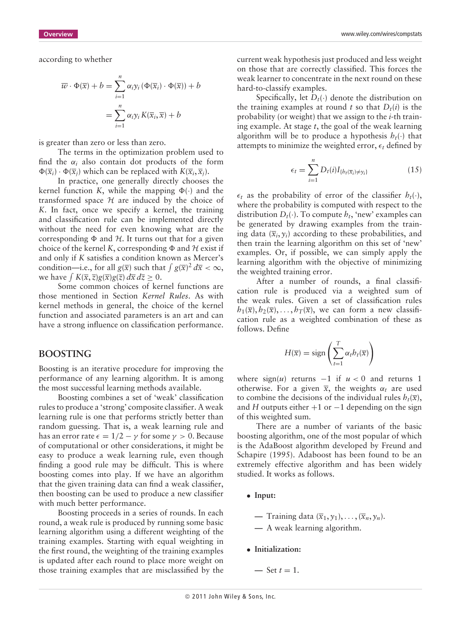according to whether

$$
\overline{w} \cdot \Phi(\overline{x}) + b = \sum_{i=1}^{n} \alpha_i y_i (\Phi(\overline{x}_i) \cdot \Phi(\overline{x})) + b
$$

$$
= \sum_{i=1}^{n} \alpha_i y_i K(\overline{x}_i, \overline{x}) + b
$$

is greater than zero or less than zero.

The terms in the optimization problem used to find the  $\alpha_i$  also contain dot products of the form  $\Phi(\overline{x}_i) \cdot \Phi(\overline{x}_i)$  which can be replaced with  $K(\overline{x}_i, \overline{x}_i)$ .

In practice, one generally directly chooses the kernel function *K*, while the mapping  $\Phi(\cdot)$  and the transformed space  $H$  are induced by the choice of *K*. In fact, once we specify a kernel, the training and classification rule can be implemented directly without the need for even knowing what are the corresponding  $\Phi$  and  $\mathcal{H}$ . It turns out that for a given choice of the kernel *K*, corresponding  $\Phi$  and  $\mathcal H$  exist if and only if *K* satisfies a condition known as Mercer's condition—i.e., for all  $g(\overline{x})$  such that  $\int g(\overline{x})^2 d\overline{x} < \infty$ , we have  $\int K(\overline{x}, \overline{z})g(\overline{x})g(\overline{z}) d\overline{x} d\overline{z} \geq 0$ .

Some common choices of kernel functions are those mentioned in Section *Kernel Rules*. As with kernel methods in general, the choice of the kernel function and associated parameters is an art and can have a strong influence on classification performance.

#### **BOOSTING**

Boosting is an iterative procedure for improving the performance of any learning algorithm. It is among the most successful learning methods available.

Boosting combines a set of 'weak' classification rules to produce a 'strong' composite classifier. A weak learning rule is one that performs strictly better than random guessing. That is, a weak learning rule and has an error rate  $\epsilon = 1/2 - \gamma$  for some  $\gamma > 0$ . Because of computational or other considerations, it might be easy to produce a weak learning rule, even though finding a good rule may be difficult. This is where boosting comes into play. If we have an algorithm that the given training data can find a weak classifier, then boosting can be used to produce a new classifier with much better performance.

Boosting proceeds in a series of rounds. In each round, a weak rule is produced by running some basic learning algorithm using a different weighting of the training examples. Starting with equal weighting in the first round, the weighting of the training examples is updated after each round to place more weight on those training examples that are misclassified by the current weak hypothesis just produced and less weight on those that are correctly classified. This forces the weak learner to concentrate in the next round on these hard-to-classify examples.

Specifically, let  $D_t(\cdot)$  denote the distribution on the training examples at round *t* so that  $D_t(i)$  is the probability (or weight) that we assign to the *i*-th training example. At stage *t*, the goal of the weak learning algorithm will be to produce a hypothesis  $h_t(\cdot)$  that attempts to minimize the weighted error,  $\epsilon_t$  defined by

$$
\epsilon_t = \sum_{i=1}^n D_t(i) I_{\{b_t(\overline{x}_i) \neq y_i\}} \tag{15}
$$

 $\epsilon_t$  as the probability of error of the classifier  $h_t(\cdot)$ , where the probability is computed with respect to the distribution  $D_t(\cdot)$ . To compute  $h_t$ , 'new' examples can be generated by drawing examples from the training data  $(\bar{x}_i, y_i)$  according to these probabilities, and then train the learning algorithm on this set of 'new' examples. Or, if possible, we can simply apply the learning algorithm with the objective of minimizing the weighted training error.

After a number of rounds, a final classification rule is produced via a weighted sum of the weak rules. Given a set of classification rules  $h_1(\overline{x}), h_2(\overline{x}), \ldots, h_T(\overline{x}),$  we can form a new classification rule as a weighted combination of these as follows. Define

$$
H(\overline{x}) = sign\left(\sum_{t=1}^{T} \alpha_t h_t(\overline{x})\right)
$$

where  $sign(u)$  returns  $-1$  if  $u < 0$  and returns 1 otherwise. For a given  $\overline{x}$ , the weights  $\alpha_t$  are used to combine the decisions of the individual rules  $h_t(\overline{x})$ , and *H* outputs either  $+1$  or  $-1$  depending on the sign of this weighted sum.

There are a number of variants of the basic boosting algorithm, one of the most popular of which is the AdaBoost algorithm developed by Freund and Schapire (1995). Adaboost has been found to be an extremely effective algorithm and has been widely studied. It works as follows.

- **Input:**
	- Training data  $(\overline{x}_1, y_1), \ldots, (\overline{x}_n, y_n)$ .
	- **—** A weak learning algorithm.
- **Initialization:**
	- $\frac{1}{t}$  Set  $t = 1$ .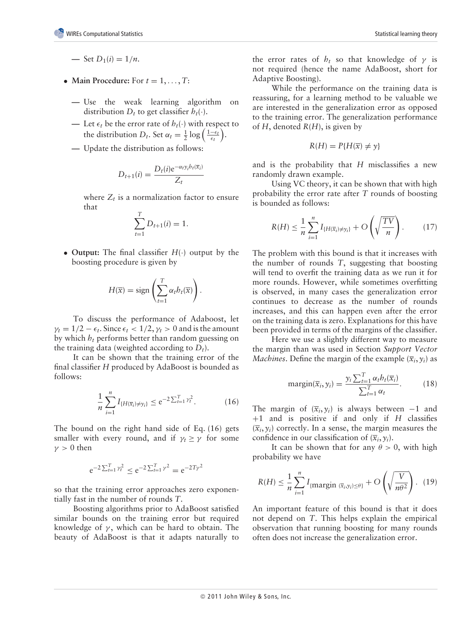$-$  Set  $D_1(i) = 1/n$ .

- Main Procedure: For  $t = 1, \ldots, T$ :
	- **—** Use the weak learning algorithm on distribution  $D_t$  to get classifier  $h_t(\cdot)$ .
	- Let  $\epsilon_t$  be the error rate of  $h_t(\cdot)$  with respect to the distribution  $D_t$ . Set  $\alpha_t = \frac{1}{2} \log \left( \frac{1 - \epsilon_t}{\epsilon_t} \right)$ .
	- **—** Update the distribution as follows:

$$
D_{t+1}(i) = \frac{D_t(i)e^{-\alpha t y_i b_t(\overline{x}_i)}}{Z_t}
$$

where  $Z_t$  is a normalization factor to ensure that

$$
\sum_{t=1}^{T} D_{t+1}(i) = 1.
$$

• **Output:** The final classifier *H*(·) output by the boosting procedure is given by

$$
H(\overline{x}) = \text{sign}\left(\sum_{t=1}^{T} \alpha_t b_t(\overline{x})\right).
$$

To discuss the performance of Adaboost, let  $\gamma_t = 1/2 - \epsilon_t$ . Since  $\epsilon_t < 1/2$ ,  $\gamma_t > 0$  and is the amount by which *ht* performs better than random guessing on the training data (weighted according to  $D_t$ ).

It can be shown that the training error of the final classifier *H* produced by AdaBoost is bounded as follows:

$$
\frac{1}{n}\sum_{i=1}^{n}I_{\{H(\overline{x}_i)\neq y_i\}} \leq e^{-2\sum_{t=1}^{T}\gamma_t^2}.
$$
 (16)

The bound on the right hand side of Eq. (16) gets smaller with every round, and if  $\gamma_t \geq \gamma$  for some  $\gamma > 0$  then

$$
e^{-2\sum_{t=1}^{T}\gamma_t^2} \le e^{-2\sum_{t=1}^{T}\gamma^2} = e^{-2T\gamma^2}
$$

so that the training error approaches zero exponentially fast in the number of rounds *T*.

Boosting algorithms prior to AdaBoost satisfied similar bounds on the training error but required knowledge of  $\gamma$ , which can be hard to obtain. The beauty of AdaBoost is that it adapts naturally to the error rates of  $h_t$  so that knowledge of  $\gamma$  is not required (hence the name AdaBoost, short for Adaptive Boosting).

While the performance on the training data is reassuring, for a learning method to be valuable we are interested in the generalization error as opposed to the training error. The generalization performance of *H*, denoted *R*(*H*), is given by

$$
R(H) = P\{H(\overline{x}) \neq y\}
$$

and is the probability that *H* misclassifies a new randomly drawn example.

Using VC theory, it can be shown that with high probability the error rate after *T* rounds of boosting is bounded as follows:

$$
R(H) \le \frac{1}{n} \sum_{i=1}^{n} I_{\{H(\overline{x}_i) \neq y_i\}} + \mathcal{O}\left(\sqrt{\frac{TV}{n}}\right). \tag{17}
$$

The problem with this bound is that it increases with the number of rounds *T*, suggesting that boosting will tend to overfit the training data as we run it for more rounds. However, while sometimes overfitting is observed, in many cases the generalization error continues to decrease as the number of rounds increases, and this can happen even after the error on the training data is zero. Explanations for this have been provided in terms of the margins of the classifier.

Here we use a slightly different way to measure the margin than was used in Section *Support Vector Machines*. Define the margin of the example  $(\overline{x}_i, y_i)$  as

$$
\text{margin}(\overline{x}_i, y_i) = \frac{y_i \sum_{t=1}^T \alpha_t b_t(\overline{x}_i)}{\sum_{t=1}^T \alpha_t}.
$$
 (18)

The margin of  $(\overline{x}_i, y_i)$  is always between  $-1$  and +1 and is positive if and only if *H* classifies  $(\overline{x}_i, y_i)$  correctly. In a sense, the margin measures the confidence in our classification of  $(\overline{x}_i, y_i)$ .

It can be shown that for any  $\theta > 0$ , with high probability we have

$$
R(H) \le \frac{1}{n} \sum_{i=1}^{n} I_{\{\text{margin } (\overline{x}_i, y_i) \le \theta\}} + \mathcal{O}\left(\sqrt{\frac{V}{n\theta^2}}\right). (19)
$$

An important feature of this bound is that it does not depend on *T*. This helps explain the empirical observation that running boosting for many rounds often does not increase the generalization error.